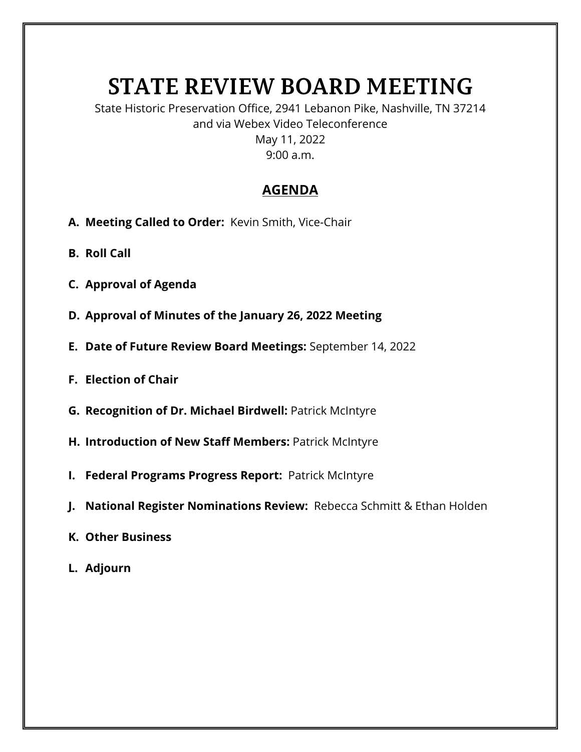## **STATE REVIEW BOARD MEETING**

State Historic Preservation Office, 2941 Lebanon Pike, Nashville, TN 37214 and via Webex Video Teleconference May 11, 2022 9:00 a.m.

## **AGENDA**

- **A. Meeting Called to Order:** Kevin Smith, Vice-Chair
- **B. Roll Call**
- **C. Approval of Agenda**
- **D. Approval of Minutes of the January 26, 2022 Meeting**
- **E. Date of Future Review Board Meetings:** September 14, 2022
- **F. Election of Chair**
- **G. Recognition of Dr. Michael Birdwell:** Patrick McIntyre
- **H. Introduction of New Staff Members:** Patrick McIntyre
- **I. Federal Programs Progress Report:** Patrick McIntyre
- **J. National Register Nominations Review:** Rebecca Schmitt & Ethan Holden
- **K. Other Business**
- **L. Adjourn**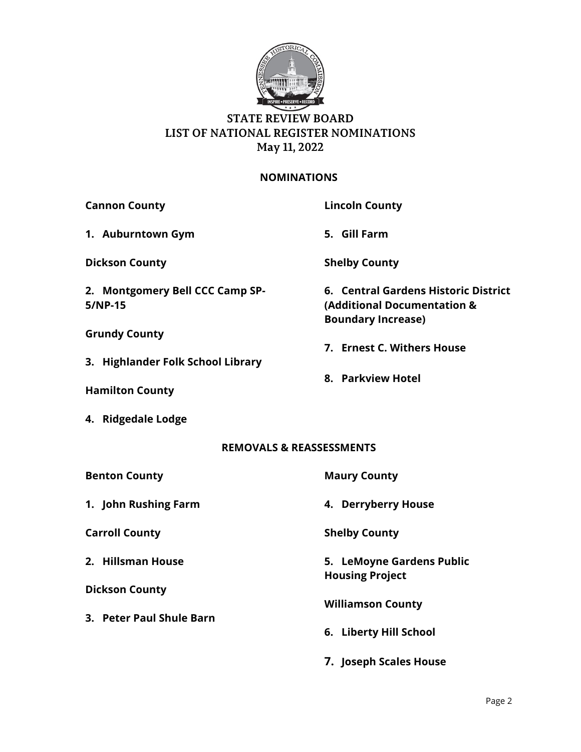

## **STATE REVIEW BOARD LIST OF NATIONAL REGISTER NOMINATIONS May 11, 2022**

## **NOMINATIONS**

| <b>Cannon County</b>                       | <b>Lincoln County</b>                                                                            |
|--------------------------------------------|--------------------------------------------------------------------------------------------------|
| 1. Auburntown Gym                          | 5. Gill Farm                                                                                     |
| <b>Dickson County</b>                      | <b>Shelby County</b>                                                                             |
| 2. Montgomery Bell CCC Camp SP-<br>5/NP-15 | 6. Central Gardens Historic District<br>(Additional Documentation &<br><b>Boundary Increase)</b> |
| <b>Grundy County</b>                       |                                                                                                  |
|                                            | 7. Ernest C. Withers House                                                                       |
| 3. Highlander Folk School Library          | 8. Parkview Hotel                                                                                |
| <b>Hamilton County</b>                     |                                                                                                  |
| 4. Ridgedale Lodge                         |                                                                                                  |
| <b>REMOVALS &amp; REASSESSMENTS</b>        |                                                                                                  |
| <b>Benton County</b>                       | <b>Maury County</b>                                                                              |
| 1. John Rushing Farm                       | 4. Derryberry House                                                                              |
| <b>Carroll County</b>                      | <b>Shelby County</b>                                                                             |
| 2. Hillsman House                          | 5. LeMoyne Gardens Public<br><b>Housing Project</b>                                              |
| <b>Dickson County</b>                      |                                                                                                  |
|                                            | <b>Williamson County</b>                                                                         |
| 3. Peter Paul Shule Barn                   |                                                                                                  |
|                                            | 6. Liberty Hill School                                                                           |

**7. Joseph Scales House**